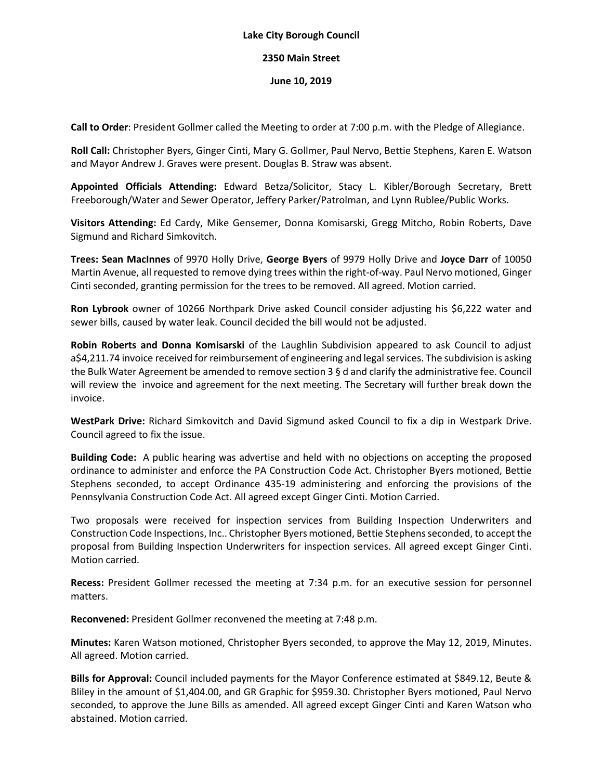## **Lake City Borough Council**

## **2350 Main Street**

## **June 10, 2019**

**Call to Order**: President Gollmer called the Meeting to order at 7:00 p.m. with the Pledge of Allegiance.

**Roll Call:** Christopher Byers, Ginger Cinti, Mary G. Gollmer, Paul Nervo, Bettie Stephens, Karen E. Watson and Mayor Andrew J. Graves were present. Douglas B. Straw was absent.

**Appointed Officials Attending:** Edward Betza/Solicitor, Stacy L. Kibler/Borough Secretary, Brett Freeborough/Water and Sewer Operator, Jeffery Parker/Patrolman, and Lynn Rublee/Public Works.

**Visitors Attending:** Ed Cardy, Mike Gensemer, Donna Komisarski, Gregg Mitcho, Robin Roberts, Dave Sigmund and Richard Simkovitch.

**Trees: Sean MacInnes** of 9970 Holly Drive, **George Byers** of 9979 Holly Drive and **Joyce Darr** of 10050 Martin Avenue, all requested to remove dying trees within the right-of-way. Paul Nervo motioned, Ginger Cinti seconded, granting permission for the trees to be removed. All agreed. Motion carried.

**Ron Lybrook** owner of 10266 Northpark Drive asked Council consider adjusting his \$6,222 water and sewer bills, caused by water leak. Council decided the bill would not be adjusted.

**Robin Roberts and Donna Komisarski** of the Laughlin Subdivision appeared to ask Council to adjust a\$4,211.74 invoice received for reimbursement of engineering and legal services. The subdivision is asking the Bulk Water Agreement be amended to remove section 3 § d and clarify the administrative fee. Council will review the invoice and agreement for the next meeting. The Secretary will further break down the invoice.

**WestPark Drive:** Richard Simkovitch and David Sigmund asked Council to fix a dip in Westpark Drive. Council agreed to fix the issue.

**Building Code:** A public hearing was advertise and held with no objections on accepting the proposed ordinance to administer and enforce the PA Construction Code Act. Christopher Byers motioned, Bettie Stephens seconded, to accept Ordinance 435-19 administering and enforcing the provisions of the Pennsylvania Construction Code Act. All agreed except Ginger Cinti. Motion Carried.

Two proposals were received for inspection services from Building Inspection Underwriters and Construction Code Inspections, Inc.. Christopher Byers motioned, Bettie Stephens seconded, to accept the proposal from Building Inspection Underwriters for inspection services. All agreed except Ginger Cinti. Motion carried.

**Recess:** President Gollmer recessed the meeting at 7:34 p.m. for an executive session for personnel matters.

**Reconvened:** President Gollmer reconvened the meeting at 7:48 p.m.

**Minutes:** Karen Watson motioned, Christopher Byers seconded, to approve the May 12, 2019, Minutes. All agreed. Motion carried.

**Bills for Approval:** Council included payments for the Mayor Conference estimated at \$849.12, Beute & Bliley in the amount of \$1,404.00, and GR Graphic for \$959.30. Christopher Byers motioned, Paul Nervo seconded, to approve the June Bills as amended. All agreed except Ginger Cinti and Karen Watson who abstained. Motion carried.